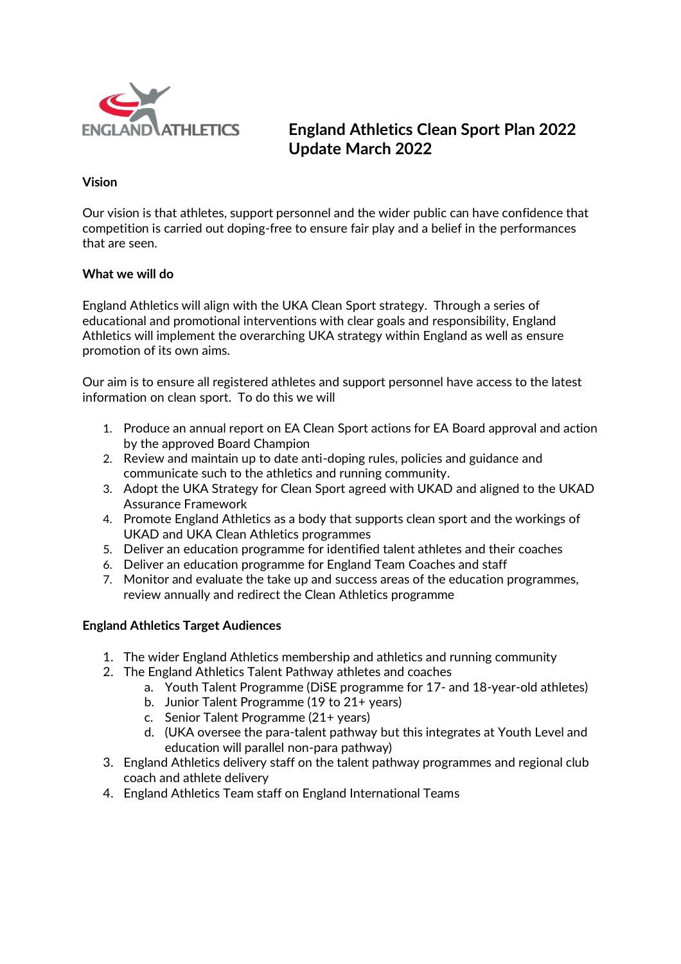

# **England Athletics Clean Sport Plan 2022 Update March 2022**

### **Vision**

Our vision is that athletes, support personnel and the wider public can have confidence that competition is carried out doping-free to ensure fair play and a belief in the performances that are seen.

#### **What we will do**

England Athletics will align with the UKA Clean Sport strategy. Through a series of educational and promotional interventions with clear goals and responsibility, England Athletics will implement the overarching UKA strategy within England as well as ensure promotion of its own aims.

Our aim is to ensure all registered athletes and support personnel have access to the latest information on clean sport. To do this we will

- 1. Produce an annual report on EA Clean Sport actions for EA Board approval and action by the approved Board Champion
- 2. Review and maintain up to date anti-doping rules, policies and guidance and communicate such to the athletics and running community.
- 3. Adopt the UKA Strategy for Clean Sport agreed with UKAD and aligned to the UKAD Assurance Framework
- 4. Promote England Athletics as a body that supports clean sport and the workings of UKAD and UKA Clean Athletics programmes
- 5. Deliver an education programme for identified talent athletes and their coaches
- 6. Deliver an education programme for England Team Coaches and staff
- 7. Monitor and evaluate the take up and success areas of the education programmes, review annually and redirect the Clean Athletics programme

#### **England Athletics Target Audiences**

- 1. The wider England Athletics membership and athletics and running community
- 2. The England Athletics Talent Pathway athletes and coaches
	- a. Youth Talent Programme (DiSE programme for 17- and 18-year-old athletes)
	- b. Junior Talent Programme (19 to 21+ years)
	- c. Senior Talent Programme (21+ years)
	- d. (UKA oversee the para-talent pathway but this integrates at Youth Level and education will parallel non-para pathway)
- 3. England Athletics delivery staff on the talent pathway programmes and regional club coach and athlete delivery
- 4. England Athletics Team staff on England International Teams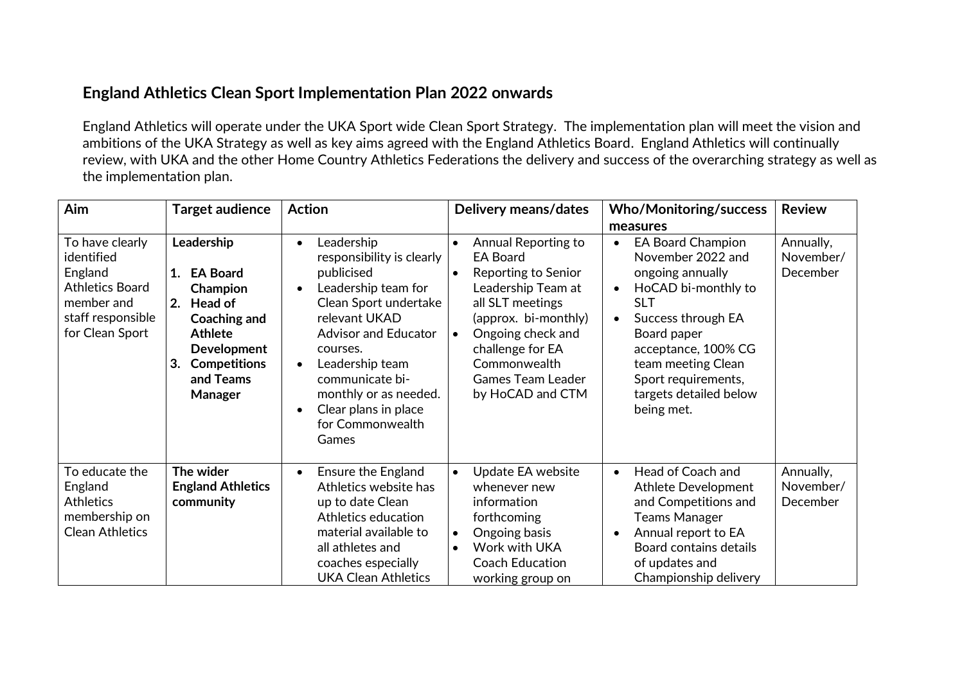## **England Athletics Clean Sport Implementation Plan 2022 onwards**

England Athletics will operate under the UKA Sport wide Clean Sport Strategy. The implementation plan will meet the vision and ambitions of the UKA Strategy as well as key aims agreed with the England Athletics Board. England Athletics will continually review, with UKA and the other Home Country Athletics Federations the delivery and success of the overarching strategy as well as the implementation plan.

| Aim                                                                                                                      | Target audience                                                                                                                                                            | <b>Action</b>                                                                                                                                                                                                                                                                                                                             | Delivery means/dates                                                                                                                                                                                                                                  | <b>Who/Monitoring/success</b>                                                                                                                                                                                                                                                                              | <b>Review</b>                      |
|--------------------------------------------------------------------------------------------------------------------------|----------------------------------------------------------------------------------------------------------------------------------------------------------------------------|-------------------------------------------------------------------------------------------------------------------------------------------------------------------------------------------------------------------------------------------------------------------------------------------------------------------------------------------|-------------------------------------------------------------------------------------------------------------------------------------------------------------------------------------------------------------------------------------------------------|------------------------------------------------------------------------------------------------------------------------------------------------------------------------------------------------------------------------------------------------------------------------------------------------------------|------------------------------------|
| To have clearly<br>identified<br>England<br><b>Athletics Board</b><br>member and<br>staff responsible<br>for Clean Sport | Leadership<br>1. EA Board<br>Champion<br><b>Head of</b><br>2.<br>Coaching and<br><b>Athlete</b><br><b>Development</b><br><b>Competitions</b><br>3.<br>and Teams<br>Manager | Leadership<br>$\bullet$<br>responsibility is clearly<br>publicised<br>Leadership team for<br>$\bullet$<br>Clean Sport undertake<br>relevant UKAD<br><b>Advisor and Educator</b><br>courses.<br>Leadership team<br>$\bullet$<br>communicate bi-<br>monthly or as needed.<br>Clear plans in place<br>$\bullet$<br>for Commonwealth<br>Games | Annual Reporting to<br><b>EA Board</b><br>Reporting to Senior<br>Leadership Team at<br>all SLT meetings<br>(approx. bi-monthly)<br>Ongoing check and<br>$\bullet$<br>challenge for EA<br>Commonwealth<br><b>Games Team Leader</b><br>by HoCAD and CTM | measures<br><b>EA Board Champion</b><br>$\bullet$<br>November 2022 and<br>ongoing annually<br>HoCAD bi-monthly to<br>$\bullet$<br><b>SLT</b><br>Success through EA<br>$\bullet$<br>Board paper<br>acceptance, 100% CG<br>team meeting Clean<br>Sport requirements,<br>targets detailed below<br>being met. | Annually,<br>November/<br>December |
| To educate the<br>England<br><b>Athletics</b><br>membership on<br><b>Clean Athletics</b>                                 | The wider<br><b>England Athletics</b><br>community                                                                                                                         | <b>Ensure the England</b><br>$\bullet$<br>Athletics website has<br>up to date Clean<br>Athletics education<br>material available to<br>all athletes and<br>coaches especially<br><b>UKA Clean Athletics</b>                                                                                                                               | Update EA website<br>$\bullet$<br>whenever new<br>information<br>forthcoming<br>Ongoing basis<br>$\bullet$<br>Work with UKA<br>$\bullet$<br>Coach Education<br>working group on                                                                       | Head of Coach and<br>$\bullet$<br>Athlete Development<br>and Competitions and<br><b>Teams Manager</b><br>Annual report to EA<br>$\bullet$<br>Board contains details<br>of updates and<br>Championship delivery                                                                                             | Annually,<br>November/<br>December |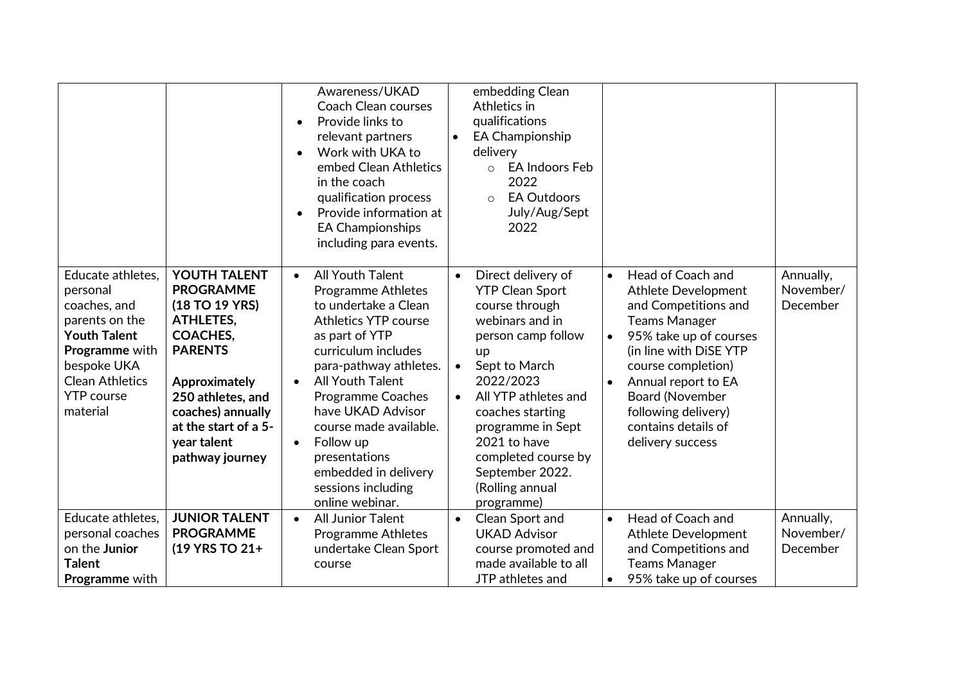|                                                                                                                                                                                           |                                                                                                                                                                                                                                  | Awareness/UKAD<br><b>Coach Clean courses</b><br>Provide links to<br>$\bullet$<br>relevant partners<br>Work with UKA to<br>$\bullet$<br>embed Clean Athletics<br>in the coach<br>qualification process<br>Provide information at<br>$\bullet$<br><b>EA Championships</b><br>including para events.                                                                                                                          |                                     | embedding Clean<br>Athletics in<br>qualifications<br><b>EA Championship</b><br>delivery<br><b>EA Indoors Feb</b><br>$\circ$<br>2022<br><b>EA Outdoors</b><br>$\circ$<br>July/Aug/Sept<br>2022                                                                                                           |                                     |                                                                                                                                                                                                                                                                                              |                                    |
|-------------------------------------------------------------------------------------------------------------------------------------------------------------------------------------------|----------------------------------------------------------------------------------------------------------------------------------------------------------------------------------------------------------------------------------|----------------------------------------------------------------------------------------------------------------------------------------------------------------------------------------------------------------------------------------------------------------------------------------------------------------------------------------------------------------------------------------------------------------------------|-------------------------------------|---------------------------------------------------------------------------------------------------------------------------------------------------------------------------------------------------------------------------------------------------------------------------------------------------------|-------------------------------------|----------------------------------------------------------------------------------------------------------------------------------------------------------------------------------------------------------------------------------------------------------------------------------------------|------------------------------------|
| Educate athletes,<br>personal<br>coaches, and<br>parents on the<br><b>Youth Talent</b><br><b>Programme</b> with<br>bespoke UKA<br><b>Clean Athletics</b><br><b>YTP</b> course<br>material | YOUTH TALENT<br><b>PROGRAMME</b><br>(18 TO 19 YRS)<br><b>ATHLETES,</b><br><b>COACHES,</b><br><b>PARENTS</b><br>Approximately<br>250 athletes, and<br>coaches) annually<br>at the start of a 5-<br>year talent<br>pathway journey | <b>All Youth Talent</b><br>$\bullet$<br><b>Programme Athletes</b><br>to undertake a Clean<br><b>Athletics YTP course</b><br>as part of YTP<br>curriculum includes<br>para-pathway athletes.<br><b>All Youth Talent</b><br>$\bullet$<br><b>Programme Coaches</b><br>have UKAD Advisor<br>course made available.<br>Follow up<br>$\bullet$<br>presentations<br>embedded in delivery<br>sessions including<br>online webinar. | $\bullet$<br>$\bullet$<br>$\bullet$ | Direct delivery of<br><b>YTP Clean Sport</b><br>course through<br>webinars and in<br>person camp follow<br>up<br>Sept to March<br>2022/2023<br>All YTP athletes and<br>coaches starting<br>programme in Sept<br>2021 to have<br>completed course by<br>September 2022.<br>(Rolling annual<br>programme) | $\bullet$<br>$\bullet$<br>$\bullet$ | Head of Coach and<br><b>Athlete Development</b><br>and Competitions and<br><b>Teams Manager</b><br>95% take up of courses<br>(in line with DiSE YTP<br>course completion)<br>Annual report to EA<br><b>Board (November</b><br>following delivery)<br>contains details of<br>delivery success | Annually,<br>November/<br>December |
| Educate athletes,<br>personal coaches<br>on the Junior<br><b>Talent</b><br><b>Programme</b> with                                                                                          | <b>JUNIOR TALENT</b><br><b>PROGRAMME</b><br>(19 YRS TO 21+                                                                                                                                                                       | <b>All Junior Talent</b><br>$\bullet$<br><b>Programme Athletes</b><br>undertake Clean Sport<br>course                                                                                                                                                                                                                                                                                                                      | $\bullet$                           | Clean Sport and<br><b>UKAD Advisor</b><br>course promoted and<br>made available to all<br>JTP athletes and                                                                                                                                                                                              | $\bullet$<br>$\bullet$              | Head of Coach and<br><b>Athlete Development</b><br>and Competitions and<br><b>Teams Manager</b><br>95% take up of courses                                                                                                                                                                    | Annually,<br>November/<br>December |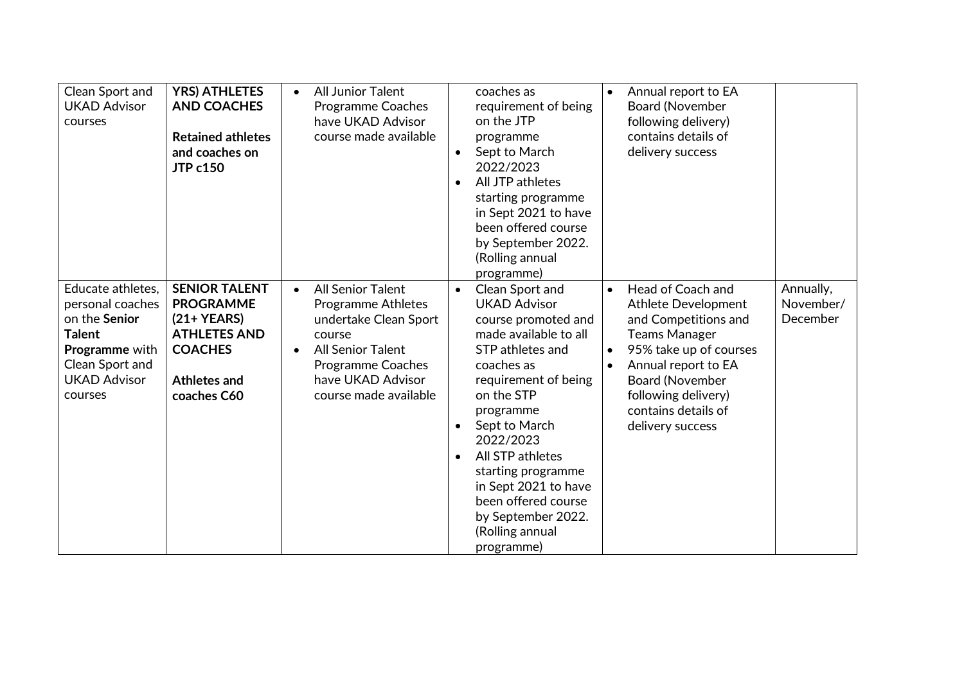| Clean Sport and<br><b>UKAD Advisor</b><br>courses                                                                                                     | <b>YRS) ATHLETES</b><br><b>AND COACHES</b><br><b>Retained athletes</b><br>and coaches on<br><b>JTP c150</b>                             | <b>All Junior Talent</b><br>$\bullet$<br><b>Programme Coaches</b><br>have UKAD Advisor<br>course made available                                                                                                          | coaches as<br>requirement of being<br>on the JTP<br>programme<br>Sept to March<br>$\bullet$<br>2022/2023<br>All JTP athletes<br>$\bullet$<br>starting programme<br>in Sept 2021 to have<br>been offered course<br>by September 2022.<br>(Rolling annual<br>programme)                                                                                                                            | Annual report to EA<br>$\bullet$<br><b>Board (November</b><br>following delivery)<br>contains details of<br>delivery success                                                                                                                                           |                                    |
|-------------------------------------------------------------------------------------------------------------------------------------------------------|-----------------------------------------------------------------------------------------------------------------------------------------|--------------------------------------------------------------------------------------------------------------------------------------------------------------------------------------------------------------------------|--------------------------------------------------------------------------------------------------------------------------------------------------------------------------------------------------------------------------------------------------------------------------------------------------------------------------------------------------------------------------------------------------|------------------------------------------------------------------------------------------------------------------------------------------------------------------------------------------------------------------------------------------------------------------------|------------------------------------|
| Educate athletes,<br>personal coaches<br>on the Senior<br><b>Talent</b><br><b>Programme</b> with<br>Clean Sport and<br><b>UKAD Advisor</b><br>courses | <b>SENIOR TALENT</b><br><b>PROGRAMME</b><br>$(21+YEARS)$<br><b>ATHLETES AND</b><br><b>COACHES</b><br><b>Athletes and</b><br>coaches C60 | <b>All Senior Talent</b><br>$\bullet$<br><b>Programme Athletes</b><br>undertake Clean Sport<br>course<br><b>All Senior Talent</b><br>$\bullet$<br><b>Programme Coaches</b><br>have UKAD Advisor<br>course made available | Clean Sport and<br>$\bullet$<br><b>UKAD Advisor</b><br>course promoted and<br>made available to all<br>STP athletes and<br>coaches as<br>requirement of being<br>on the STP<br>programme<br>Sept to March<br>$\bullet$<br>2022/2023<br>All STP athletes<br>$\bullet$<br>starting programme<br>in Sept 2021 to have<br>been offered course<br>by September 2022.<br>(Rolling annual<br>programme) | Head of Coach and<br>$\bullet$<br><b>Athlete Development</b><br>and Competitions and<br><b>Teams Manager</b><br>95% take up of courses<br>$\bullet$<br>Annual report to EA<br><b>Board (November</b><br>following delivery)<br>contains details of<br>delivery success | Annually,<br>November/<br>December |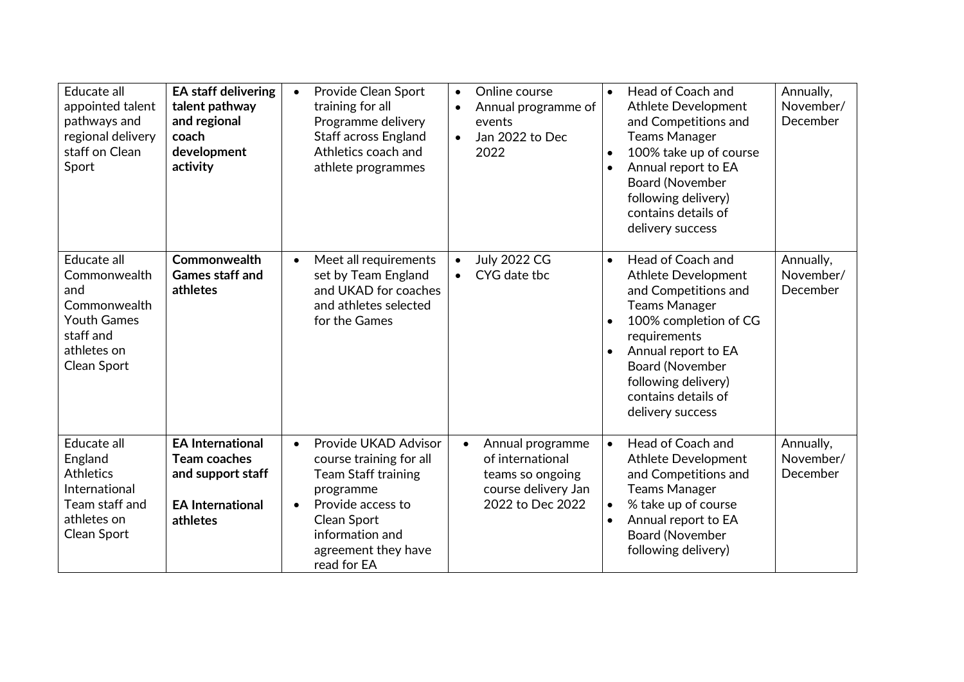| Educate all<br>appointed talent<br>pathways and<br>regional delivery<br>staff on Clean<br>Sport                     | <b>EA staff delivering</b><br>talent pathway<br>and regional<br>coach<br>development<br>activity           | Provide Clean Sport<br>$\bullet$<br>training for all<br>Programme delivery<br><b>Staff across England</b><br>Athletics coach and<br>athlete programmes                                                            | Online course<br>$\bullet$<br>Annual programme of<br>$\bullet$<br>events<br>Jan 2022 to Dec<br>$\bullet$<br>2022 | Head of Coach and<br>$\bullet$<br><b>Athlete Development</b><br>and Competitions and<br><b>Teams Manager</b><br>100% take up of course<br>$\bullet$<br>Annual report to EA<br>$\bullet$<br><b>Board (November</b><br>following delivery)<br>contains details of<br>delivery success         | Annually,<br>November/<br>December |
|---------------------------------------------------------------------------------------------------------------------|------------------------------------------------------------------------------------------------------------|-------------------------------------------------------------------------------------------------------------------------------------------------------------------------------------------------------------------|------------------------------------------------------------------------------------------------------------------|---------------------------------------------------------------------------------------------------------------------------------------------------------------------------------------------------------------------------------------------------------------------------------------------|------------------------------------|
| Educate all<br>Commonwealth<br>and<br>Commonwealth<br><b>Youth Games</b><br>staff and<br>athletes on<br>Clean Sport | Commonwealth<br><b>Games staff and</b><br>athletes                                                         | Meet all requirements<br>$\bullet$<br>set by Team England<br>and UKAD for coaches<br>and athletes selected<br>for the Games                                                                                       | <b>July 2022 CG</b><br>$\bullet$<br>CYG date tbc                                                                 | Head of Coach and<br>$\bullet$<br>Athlete Development<br>and Competitions and<br><b>Teams Manager</b><br>100% completion of CG<br>$\bullet$<br>requirements<br>Annual report to EA<br>$\bullet$<br><b>Board (November</b><br>following delivery)<br>contains details of<br>delivery success | Annually,<br>November/<br>December |
| Educate all<br>England<br><b>Athletics</b><br>International<br>Team staff and<br>athletes on<br>Clean Sport         | <b>EA International</b><br><b>Team coaches</b><br>and support staff<br><b>EA International</b><br>athletes | Provide UKAD Advisor<br>$\bullet$<br>course training for all<br><b>Team Staff training</b><br>programme<br>Provide access to<br>$\bullet$<br>Clean Sport<br>information and<br>agreement they have<br>read for EA | Annual programme<br>$\bullet$<br>of international<br>teams so ongoing<br>course delivery Jan<br>2022 to Dec 2022 | Head of Coach and<br>$\bullet$<br>Athlete Development<br>and Competitions and<br><b>Teams Manager</b><br>% take up of course<br>$\bullet$<br>Annual report to EA<br>$\bullet$<br><b>Board (November</b><br>following delivery)                                                              | Annually,<br>November/<br>December |